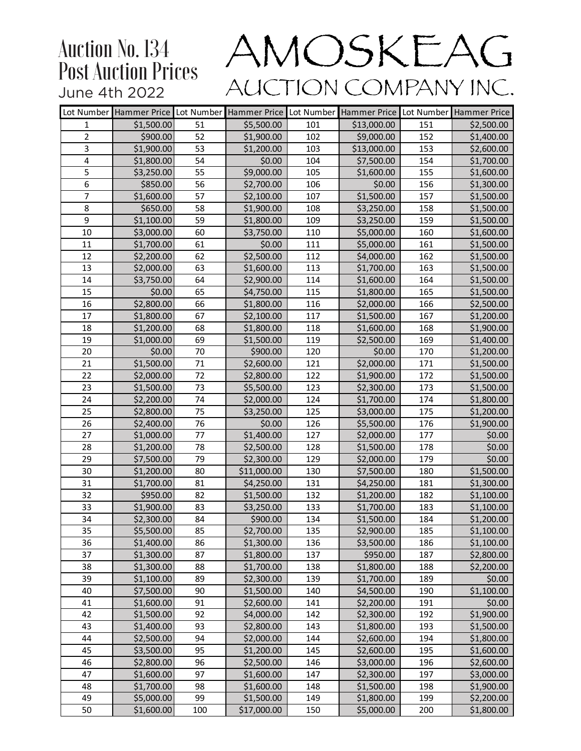| Lot Number     | Hammer Price Lot Number Hammer Price Lot Number |     |             |     | Hammer Price Lot Number Hammer Price |     |                        |
|----------------|-------------------------------------------------|-----|-------------|-----|--------------------------------------|-----|------------------------|
| 1              | \$1,500.00                                      | 51  | \$5,500.00  | 101 | \$13,000.00                          | 151 | \$2,500.00             |
| $\overline{2}$ | \$900.00                                        | 52  | \$1,900.00  | 102 | \$9,000.00                           | 152 | \$1,400.00             |
| 3              | \$1,900.00                                      | 53  | \$1,200.00  | 103 | \$13,000.00                          | 153 | \$2,600.00             |
| $\overline{4}$ | \$1,800.00                                      | 54  | \$0.00      | 104 | \$7,500.00                           | 154 | \$1,700.00             |
| $\overline{5}$ | \$3,250.00                                      | 55  | \$9,000.00  | 105 | \$1,600.00                           | 155 | \$1,600.00             |
| $6\,$          | \$850.00                                        | 56  | \$2,700.00  | 106 | \$0.00                               | 156 | \$1,300.00             |
| $\overline{7}$ | \$1,600.00                                      | 57  | \$2,100.00  | 107 | \$1,500.00                           | 157 | \$1,500.00             |
| 8              | \$650.00                                        | 58  | \$1,900.00  | 108 | \$3,250.00                           | 158 | \$1,500.00             |
| 9              | \$1,100.00                                      | 59  | \$1,800.00  | 109 | \$3,250.00                           | 159 | \$1,500.00             |
| 10             | \$3,000.00                                      | 60  | \$3,750.00  | 110 | \$5,000.00                           | 160 | \$1,600.00             |
| 11             | \$1,700.00                                      | 61  | \$0.00      | 111 | \$5,000.00                           | 161 | \$1,500.00             |
| 12             | \$2,200.00                                      | 62  | \$2,500.00  | 112 | \$4,000.00                           | 162 | \$1,500.00             |
| 13             | \$2,000.00                                      | 63  | \$1,600.00  | 113 | \$1,700.00                           | 163 | \$1,500.00             |
| 14             | \$3,750.00                                      | 64  | \$2,900.00  | 114 | \$1,600.00                           | 164 | \$1,500.00             |
| 15             | \$0.00                                          | 65  | \$4,750.00  | 115 | \$1,800.00                           | 165 | \$1,500.00             |
| 16             | \$2,800.00                                      | 66  | \$1,800.00  | 116 | \$2,000.00                           | 166 | \$2,500.00             |
| 17             | \$1,800.00                                      | 67  | \$2,100.00  | 117 | \$1,500.00                           | 167 | \$1,200.00             |
| 18             | \$1,200.00                                      | 68  | \$1,800.00  | 118 | \$1,600.00                           | 168 | \$1,900.00             |
| 19             | \$1,000.00                                      | 69  | \$1,500.00  | 119 | \$2,500.00                           | 169 | \$1,400.00             |
| 20             | \$0.00                                          | 70  | \$900.00    | 120 | \$0.00                               | 170 | \$1,200.00             |
| 21             | \$1,500.00                                      | 71  | \$2,600.00  | 121 | \$2,000.00                           | 171 | \$1,500.00             |
| 22             | \$2,000.00                                      | 72  | \$2,800.00  | 122 | \$1,900.00                           | 172 | \$1,500.00             |
| 23             | \$1,500.00                                      | 73  | \$5,500.00  | 123 | \$2,300.00                           | 173 | \$1,500.00             |
| 24             | \$2,200.00                                      | 74  | \$2,000.00  | 124 | \$1,700.00                           | 174 | \$1,800.00             |
| 25             | \$2,800.00                                      | 75  | \$3,250.00  | 125 | \$3,000.00                           | 175 | \$1,200.00             |
| 26             | \$2,400.00                                      | 76  | \$0.00      | 126 | \$5,500.00                           | 176 | \$1,900.00             |
| 27             | \$1,000.00                                      | 77  | \$1,400.00  | 127 | \$2,000.00                           | 177 | \$0.00                 |
| 28             | \$1,200.00                                      | 78  | \$2,500.00  | 128 | \$1,500.00                           | 178 | \$0.00                 |
| 29             | \$7,500.00                                      | 79  | \$2,300.00  | 129 | \$2,000.00                           | 179 | \$0.00                 |
| 30             | \$1,200.00                                      | 80  | \$11,000.00 | 130 | \$7,500.00                           | 180 | \$1,500.00             |
| 31             | \$1,700.00                                      | 81  | \$4,250.00  | 131 | \$4,250.00                           | 181 | \$1,300.00             |
| 32             | \$950.00                                        | 82  | \$1,500.00  | 132 | \$1,200.00                           | 182 | \$1,100.00             |
| 33             | \$1,900.00                                      | 83  | \$3,250.00  | 133 | \$1,700.00                           | 183 | \$1,100.00             |
| 34             | \$2,300.00                                      | 84  | \$900.00    | 134 | \$1,500.00                           | 184 | \$1,200.00             |
| 35             | \$5,500.00                                      | 85  | \$2,700.00  | 135 | \$2,900.00                           | 185 | $\overline{$}1,100.00$ |
| 36             | \$1,400.00                                      | 86  | \$1,300.00  | 136 | \$3,500.00                           | 186 | \$1,100.00             |
| 37             | \$1,300.00                                      | 87  | \$1,800.00  | 137 | \$950.00                             | 187 | \$2,800.00             |
| 38             | \$1,300.00                                      | 88  | \$1,700.00  | 138 | \$1,800.00                           | 188 | \$2,200.00             |
| 39             | \$1,100.00                                      | 89  | \$2,300.00  | 139 | \$1,700.00                           | 189 | \$0.00                 |
| 40             | \$7,500.00                                      | 90  | \$1,500.00  | 140 | \$4,500.00                           | 190 | \$1,100.00             |
| 41             | \$1,600.00                                      | 91  | \$2,600.00  | 141 | \$2,200.00                           | 191 | \$0.00                 |
| 42             | \$1,500.00                                      | 92  | \$4,000.00  | 142 | \$2,300.00                           | 192 | \$1,900.00             |
| 43             | \$1,400.00                                      | 93  | \$2,800.00  | 143 | \$1,800.00                           | 193 | \$1,500.00             |
| 44             | \$2,500.00                                      | 94  | \$2,000.00  | 144 | \$2,600.00                           | 194 | \$1,800.00             |
| 45             | \$3,500.00                                      | 95  | \$1,200.00  | 145 | \$2,600.00                           | 195 | \$1,600.00             |
| 46             | \$2,800.00                                      | 96  | \$2,500.00  | 146 | \$3,000.00                           | 196 | \$2,600.00             |
| 47             | \$1,600.00                                      | 97  | \$1,600.00  | 147 | \$2,300.00                           | 197 | \$3,000.00             |
| 48             | \$1,700.00                                      | 98  | \$1,600.00  | 148 | \$1,500.00                           | 198 | \$1,900.00             |
| 49             | \$5,000.00                                      | 99  | \$1,500.00  | 149 | \$1,800.00                           | 199 | \$2,200.00             |
| 50             | \$1,600.00                                      | 100 | \$17,000.00 | 150 | \$5,000.00                           | 200 | \$1,800.00             |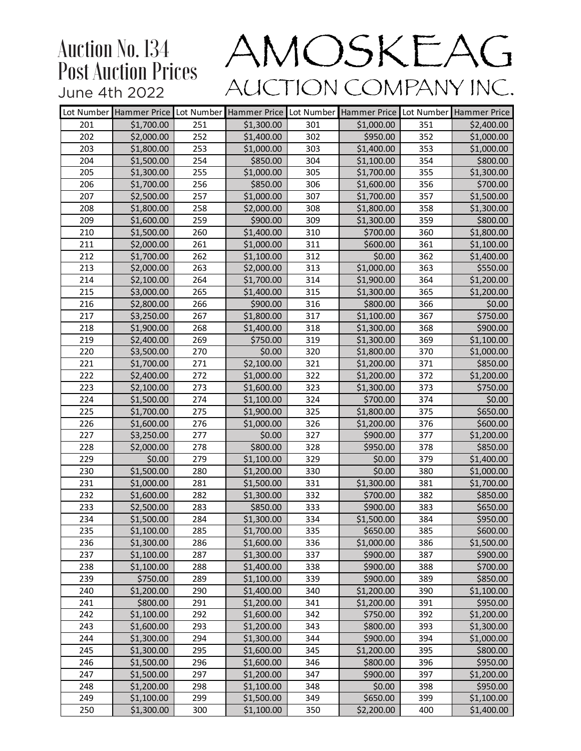|     | Lot Number Hammer Price Lot Number |     | Hammer Price | Lot Number      |            |     | Hammer Price Lot Number Hammer Price |
|-----|------------------------------------|-----|--------------|-----------------|------------|-----|--------------------------------------|
| 201 | \$1,700.00                         | 251 | \$1,300.00   | 301             | \$1,000.00 | 351 | \$2,400.00                           |
| 202 | \$2,000.00                         | 252 | \$1,400.00   | 302             | \$950.00   | 352 | \$1,000.00                           |
| 203 | \$1,800.00                         | 253 | \$1,000.00   | 303             | \$1,400.00 | 353 | \$1,000.00                           |
| 204 | \$1,500.00                         | 254 | \$850.00     | 304             | \$1,100.00 | 354 | \$800.00                             |
| 205 | \$1,300.00                         | 255 | \$1,000.00   | 305             | \$1,700.00 | 355 | \$1,300.00                           |
| 206 | \$1,700.00                         | 256 | \$850.00     | 306             | \$1,600.00 | 356 | \$700.00                             |
| 207 | \$2,500.00                         | 257 | \$1,000.00   | 307             | \$1,700.00 | 357 | \$1,500.00                           |
| 208 | \$1,800.00                         | 258 | \$2,000.00   | 308             | \$1,800.00 | 358 | \$1,300.00                           |
| 209 | \$1,600.00                         | 259 | \$900.00     | 309             | \$1,300.00 | 359 | \$800.00                             |
| 210 | \$1,500.00                         | 260 | \$1,400.00   | 310             | \$700.00   | 360 | \$1,800.00                           |
| 211 | \$2,000.00                         | 261 | \$1,000.00   | 311             | \$600.00   | 361 | \$1,100.00                           |
| 212 | \$1,700.00                         | 262 | \$1,100.00   | 312             | \$0.00     | 362 | \$1,400.00                           |
| 213 | \$2,000.00                         | 263 | \$2,000.00   | 313             | \$1,000.00 | 363 | \$550.00                             |
| 214 | \$2,100.00                         | 264 | \$1,700.00   | 314             | \$1,900.00 | 364 | \$1,200.00                           |
| 215 | \$3,000.00                         | 265 | \$1,400.00   | 315             | \$1,300.00 | 365 | \$1,200.00                           |
| 216 | \$2,800.00                         | 266 | \$900.00     | 316             | \$800.00   | 366 | \$0.00                               |
| 217 | \$3,250.00                         | 267 | \$1,800.00   | 317             | \$1,100.00 | 367 | \$750.00                             |
| 218 | \$1,900.00                         | 268 | \$1,400.00   | 318             | \$1,300.00 | 368 | \$900.00                             |
| 219 | \$2,400.00                         | 269 | \$750.00     | 319             | \$1,300.00 | 369 | \$1,100.00                           |
| 220 | \$3,500.00                         | 270 | \$0.00       | 320             | \$1,800.00 | 370 | \$1,000.00                           |
| 221 | \$1,700.00                         | 271 | \$2,100.00   | 321             | \$1,200.00 | 371 | \$850.00                             |
| 222 | \$2,400.00                         | 272 | \$1,000.00   | 322             | \$1,200.00 | 372 | \$1,200.00                           |
| 223 | \$2,100.00                         | 273 | \$1,600.00   | 323             | \$1,300.00 | 373 | \$750.00                             |
| 224 | \$1,500.00                         | 274 | \$1,100.00   | 324             | \$700.00   | 374 | \$0.00                               |
| 225 | \$1,700.00                         | 275 | \$1,900.00   | 325             | \$1,800.00 | 375 | \$650.00                             |
| 226 | \$1,600.00                         | 276 | \$1,000.00   | 326             | \$1,200.00 | 376 | \$600.00                             |
| 227 | \$3,250.00                         | 277 | \$0.00       | 327             | \$900.00   | 377 | \$1,200.00                           |
| 228 | \$2,000.00                         | 278 | \$800.00     | 328             | \$950.00   | 378 | \$850.00                             |
| 229 | \$0.00                             | 279 | \$1,100.00   | 329             | \$0.00     | 379 | \$1,400.00                           |
| 230 | \$1,500.00                         | 280 | \$1,200.00   | 330             | \$0.00     | 380 | \$1,000.00                           |
| 231 | \$1,000.00                         | 281 | \$1,500.00   | 331             | \$1,300.00 | 381 | \$1,700.00                           |
| 232 | \$1,600.00                         | 282 | \$1,300.00   | 332             | \$700.00   | 382 | \$850.00                             |
| 233 | \$2,500.00                         | 283 | \$850.00     | 333             | \$900.00   | 383 | \$650.00                             |
| 234 | \$1,500.00                         | 284 | \$1,300.00   | 334             | \$1,500.00 | 384 | \$950.00                             |
| 235 | \$1,100.00                         | 285 | \$1,700.00   | $\frac{1}{335}$ | \$650.00   | 385 | \$600.00                             |
| 236 | \$1,300.00                         | 286 | \$1,600.00   | 336             | \$1,000.00 | 386 | \$1,500.00                           |
| 237 | \$1,100.00                         | 287 | \$1,300.00   | 337             | \$900.00   | 387 | \$900.00                             |
| 238 | \$1,100.00                         | 288 | \$1,400.00   | 338             | \$900.00   | 388 | \$700.00                             |
| 239 | \$750.00                           | 289 | \$1,100.00   | 339             | \$900.00   | 389 | \$850.00                             |
| 240 | \$1,200.00                         | 290 | \$1,400.00   | 340             | \$1,200.00 | 390 | \$1,100.00                           |
| 241 | \$800.00                           | 291 | \$1,200.00   | 341             | \$1,200.00 | 391 | \$950.00                             |
| 242 | \$1,100.00                         | 292 | \$1,600.00   | 342             | \$750.00   | 392 | \$1,200.00                           |
| 243 | \$1,600.00                         | 293 | \$1,200.00   | 343             | \$800.00   | 393 | \$1,300.00                           |
| 244 | \$1,300.00                         | 294 | \$1,300.00   | 344             | \$900.00   | 394 | \$1,000.00                           |
| 245 | \$1,300.00                         | 295 | \$1,600.00   | 345             | \$1,200.00 | 395 | \$800.00                             |
| 246 | \$1,500.00                         | 296 | \$1,600.00   | 346             | \$800.00   | 396 | \$950.00                             |
| 247 | \$1,500.00                         | 297 | \$1,200.00   | 347             | \$900.00   | 397 | \$1,200.00                           |
| 248 | \$1,200.00                         | 298 | \$1,100.00   | 348             | \$0.00     | 398 | \$950.00                             |
| 249 | \$1,100.00                         | 299 | \$1,500.00   | 349             | \$650.00   | 399 | \$1,100.00                           |
| 250 | \$1,300.00                         | 300 | \$1,100.00   | 350             | \$2,200.00 | 400 | \$1,400.00                           |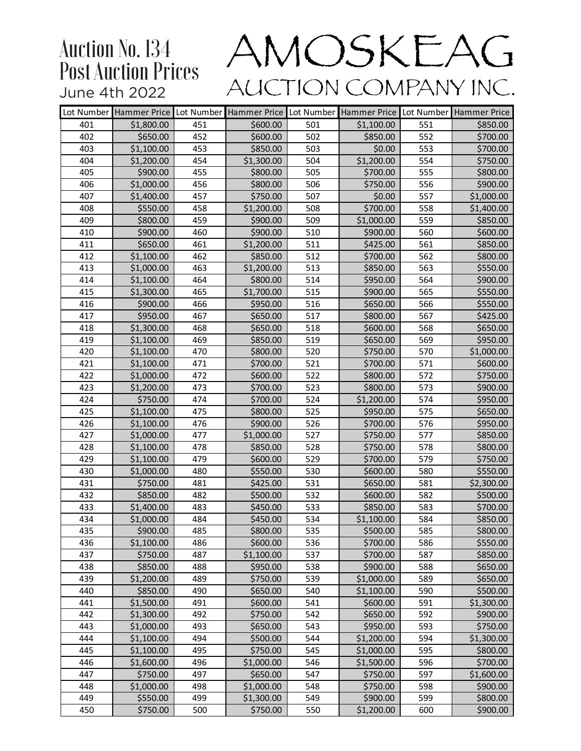|            |                          |            |                      |            | Lot Number Hammer Price Lot Number Hammer Price Lot Number Hammer Price Lot Number Hammer Price |            |                        |
|------------|--------------------------|------------|----------------------|------------|-------------------------------------------------------------------------------------------------|------------|------------------------|
| 401        | \$1,800.00               | 451        | \$600.00             | 501        | \$1,100.00                                                                                      | 551        | \$850.00               |
| 402        | \$650.00                 | 452        | \$600.00             | 502        | \$850.00                                                                                        | 552        | \$700.00               |
| 403        | \$1,100.00               | 453        | \$850.00             | 503        | \$0.00                                                                                          | 553        | \$700.00               |
| 404        | \$1,200.00               | 454        | \$1,300.00           | 504        | \$1,200.00                                                                                      | 554        | \$750.00               |
| 405        | \$900.00                 | 455        | \$800.00             | 505        | \$700.00                                                                                        | 555        | \$800.00               |
| 406        | \$1,000.00               | 456        | \$800.00             | 506        | \$750.00                                                                                        | 556        | \$900.00               |
| 407        | \$1,400.00               | 457        | \$750.00             | 507        | \$0.00                                                                                          | 557        | \$1,000.00             |
| 408        | \$550.00                 | 458        | \$1,200.00           | 508        | \$700.00                                                                                        | 558        | \$1,400.00             |
| 409        | \$800.00                 | 459        | \$900.00             | 509        | \$1,000.00                                                                                      | 559        | \$850.00               |
| 410        | \$900.00                 | 460        | \$900.00             | 510        | \$900.00                                                                                        | 560        | \$600.00               |
| 411        | \$650.00                 | 461        | \$1,200.00           | 511        | \$425.00                                                                                        | 561        | \$850.00               |
| 412        | \$1,100.00               | 462        | \$850.00             | 512        | \$700.00                                                                                        | 562        | \$800.00               |
| 413        | \$1,000.00               | 463        | \$1,200.00           | 513        | \$850.00                                                                                        | 563        | \$550.00               |
| 414        | \$1,100.00               | 464        | \$800.00             | 514        | \$950.00                                                                                        | 564        | \$900.00               |
| 415        | \$1,300.00               | 465        | \$1,700.00           | 515        | \$900.00                                                                                        | 565        | \$550.00               |
| 416        | \$900.00                 | 466        | \$950.00             | 516        | \$650.00                                                                                        | 566        | \$550.00               |
| 417        | \$950.00                 | 467        | \$650.00             | 517        | \$800.00                                                                                        | 567        | \$425.00               |
| 418        | \$1,300.00               | 468        | \$650.00             | 518        | \$600.00                                                                                        | 568        | \$650.00               |
| 419        | \$1,100.00               | 469        | \$850.00             | 519        | \$650.00                                                                                        | 569        | \$950.00               |
| 420        | \$1,100.00               | 470        | \$800.00             | 520        | \$750.00                                                                                        | 570        | \$1,000.00             |
| 421        | \$1,100.00               | 471        | \$700.00             | 521        | \$700.00                                                                                        | 571        | \$600.00               |
| 422        | \$1,000.00               | 472        | \$600.00             | 522        | \$800.00                                                                                        | 572        | \$750.00               |
| 423        | \$1,200.00               | 473        | \$700.00             | 523        | \$800.00                                                                                        | 573        | \$900.00               |
| 424        | \$750.00                 | 474        | \$700.00             | 524        | \$1,200.00                                                                                      | 574        | \$950.00               |
| 425        | \$1,100.00               | 475        | \$800.00             | 525        | \$950.00                                                                                        | 575        | \$650.00               |
| 426        | \$1,100.00               | 476        | \$900.00             | 526        | \$700.00                                                                                        | 576        | \$950.00               |
| 427        | \$1,000.00               | 477        | \$1,000.00           | 527        | \$750.00                                                                                        | 577        | \$850.00               |
| 428        | \$1,100.00               | 478        | \$850.00             | 528        | \$750.00                                                                                        | 578        | \$800.00               |
| 429        | \$1,100.00               | 479        | \$600.00             | 529        | \$700.00                                                                                        | 579        | \$750.00               |
| 430        | \$1,000.00               | 480        | \$550.00             | 530        | \$600.00                                                                                        | 580        | \$550.00               |
| 431        | \$750.00                 | 481        | \$425.00             | 531        | \$650.00                                                                                        | 581        | \$2,300.00             |
| 432        | \$850.00                 | 482        | \$500.00             | 532        | \$600.00                                                                                        | 582        | \$500.00               |
| 433        | \$1,400.00               | 483        | \$450.00             | 533        | \$850.00                                                                                        | 583        | \$700.00               |
| 434        | \$1,000.00               | 484        | \$450.00             | 534        | \$1,100.00                                                                                      | 584        | \$850.00               |
| 435        | \$900.00                 | 485        | \$800.00             | 535        | \$500.00                                                                                        | 585        | \$800.00               |
| 436        | \$1,100.00               | 486        | \$600.00             | 536        | \$700.00                                                                                        | 586        | \$550.00               |
| 437        | \$750.00                 | 487        | \$1,100.00           | 537        | \$700.00                                                                                        | 587        | \$850.00               |
| 438        | \$850.00                 | 488        | \$950.00             | 538        | \$900.00                                                                                        | 588        | \$650.00               |
| 439<br>440 | \$1,200.00<br>\$850.00   | 489<br>490 | \$750.00<br>\$650.00 | 539<br>540 | \$1,000.00<br>\$1,100.00                                                                        | 589<br>590 | \$650.00<br>\$500.00   |
|            | \$1,500.00               |            |                      |            |                                                                                                 |            |                        |
| 441<br>442 | \$1,300.00               | 491<br>492 | \$600.00<br>\$750.00 | 541<br>542 | \$600.00<br>\$650.00                                                                            | 591<br>592 | \$1,300.00<br>\$900.00 |
|            |                          |            |                      |            |                                                                                                 |            |                        |
| 443<br>444 | \$1,000.00<br>\$1,100.00 | 493<br>494 | \$650.00<br>\$500.00 | 543<br>544 | \$950.00<br>\$1,200.00                                                                          | 593<br>594 | \$750.00               |
| 445        | \$1,100.00               | 495        | \$750.00             | 545        | \$1,000.00                                                                                      | 595        | \$1,300.00<br>\$800.00 |
| 446        | \$1,600.00               | 496        | \$1,000.00           | 546        | \$1,500.00                                                                                      | 596        | \$700.00               |
| 447        | \$750.00                 | 497        | \$650.00             | 547        | \$750.00                                                                                        | 597        | \$1,600.00             |
| 448        | \$1,000.00               | 498        | \$1,000.00           | 548        | \$750.00                                                                                        | 598        | \$900.00               |
| 449        | \$550.00                 | 499        | \$1,300.00           | 549        | \$900.00                                                                                        | 599        | \$800.00               |
| 450        | \$750.00                 | 500        | \$750.00             | 550        | \$1,200.00                                                                                      | 600        | \$900.00               |